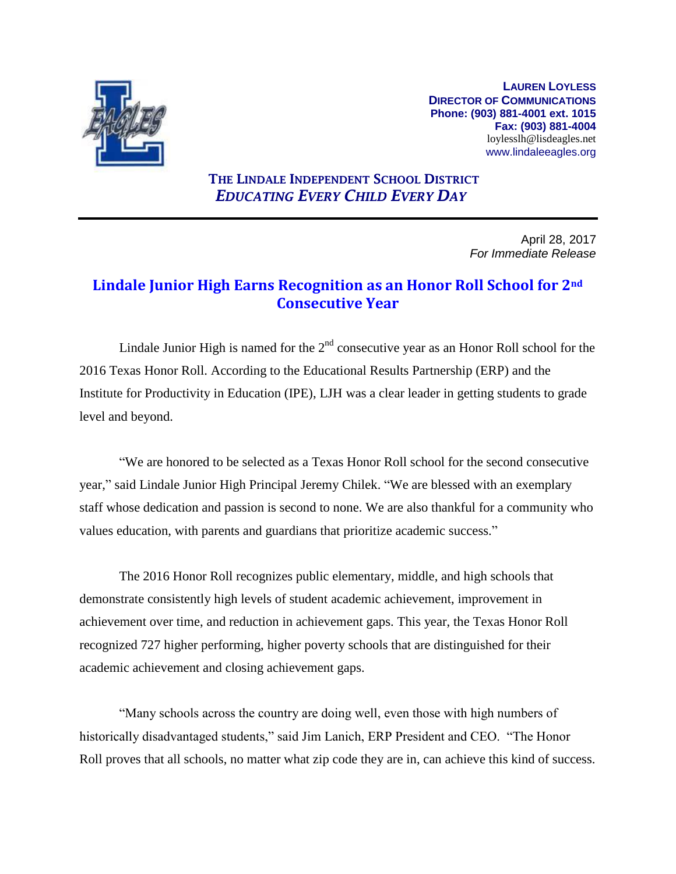

**LAUREN LOYLESS DIRECTOR OF COMMUNICATIONS Phone: (903) 881-4001 ext. 1015 Fax: (903) 881-4004** loylesslh@lisdeagles.net www.lindaleeagles.org

## **THE LINDALE INDEPENDENT SCHOOL DISTRICT** *EDUCATING EVERY CHILD EVERY DAY*

April 28, 2017 *For Immediate Release*

## **Lindale Junior High Earns Recognition as an Honor Roll School for 2nd Consecutive Year**

Lindale Junior High is named for the  $2<sup>nd</sup>$  consecutive year as an Honor Roll school for the 2016 Texas Honor Roll. According to the Educational Results Partnership (ERP) and the Institute for Productivity in Education (IPE), LJH was a clear leader in getting students to grade level and beyond.

"We are honored to be selected as a Texas Honor Roll school for the second consecutive year," said Lindale Junior High Principal Jeremy Chilek. "We are blessed with an exemplary staff whose dedication and passion is second to none. We are also thankful for a community who values education, with parents and guardians that prioritize academic success."

The 2016 Honor Roll recognizes public elementary, middle, and high schools that demonstrate consistently high levels of student academic achievement, improvement in achievement over time, and reduction in achievement gaps. This year, the Texas Honor Roll recognized 727 higher performing, higher poverty schools that are distinguished for their academic achievement and closing achievement gaps.

"Many schools across the country are doing well, even those with high numbers of historically disadvantaged students," said Jim Lanich, ERP President and CEO. "The Honor Roll proves that all schools, no matter what zip code they are in, can achieve this kind of success.